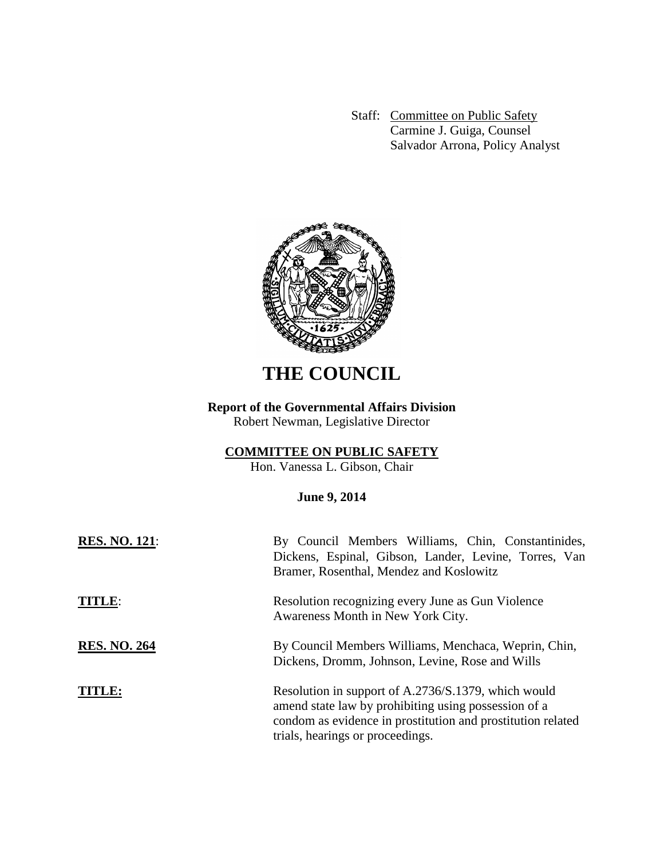Staff: Committee on Public Safety Carmine J. Guiga, Counsel Salvador Arrona, Policy Analyst



# **THE COUNCIL**

## **Report of the Governmental Affairs Division**

Robert Newman, Legislative Director

## **COMMITTEE ON PUBLIC SAFETY**

Hon. Vanessa L. Gibson, Chair

## **June 9, 2014**

| <b>RES. NO. 121:</b> | By Council Members Williams, Chin, Constantinides,<br>Dickens, Espinal, Gibson, Lander, Levine, Torres, Van<br>Bramer, Rosenthal, Mendez and Koslowitz                                                         |
|----------------------|----------------------------------------------------------------------------------------------------------------------------------------------------------------------------------------------------------------|
| TITLE:               | Resolution recognizing every June as Gun Violence<br>Awareness Month in New York City.                                                                                                                         |
| <b>RES. NO. 264</b>  | By Council Members Williams, Menchaca, Weprin, Chin,<br>Dickens, Dromm, Johnson, Levine, Rose and Wills                                                                                                        |
|                      | Resolution in support of A.2736/S.1379, which would<br>amend state law by prohibiting using possession of a<br>condom as evidence in prostitution and prostitution related<br>trials, hearings or proceedings. |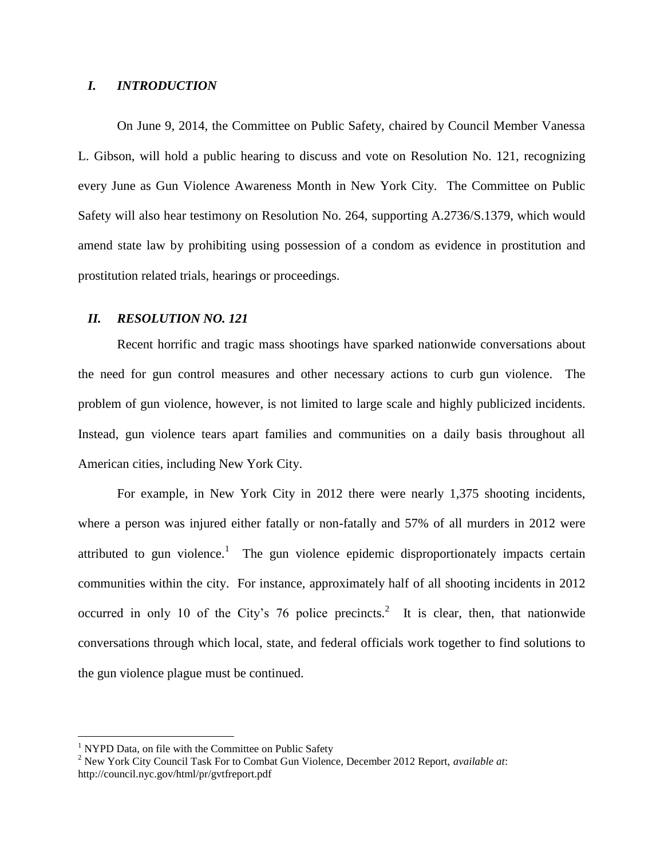### *I. INTRODUCTION*

On June 9, 2014, the Committee on Public Safety, chaired by Council Member Vanessa L. Gibson, will hold a public hearing to discuss and vote on Resolution No. 121, recognizing every June as Gun Violence Awareness Month in New York City. The Committee on Public Safety will also hear testimony on Resolution No. 264, supporting A.2736/S.1379, which would amend state law by prohibiting using possession of a condom as evidence in prostitution and prostitution related trials, hearings or proceedings.

### *II. RESOLUTION NO. 121*

Recent horrific and tragic mass shootings have sparked nationwide conversations about the need for gun control measures and other necessary actions to curb gun violence. The problem of gun violence, however, is not limited to large scale and highly publicized incidents. Instead, gun violence tears apart families and communities on a daily basis throughout all American cities, including New York City.

For example, in New York City in 2012 there were nearly 1,375 shooting incidents, where a person was injured either fatally or non-fatally and 57% of all murders in 2012 were attributed to gun violence.<sup>1</sup> The gun violence epidemic disproportionately impacts certain communities within the city. For instance, approximately half of all shooting incidents in 2012 occurred in only 10 of the City's 76 police precincts.<sup>2</sup> It is clear, then, that nationwide conversations through which local, state, and federal officials work together to find solutions to the gun violence plague must be continued.

 $\overline{a}$ 

 $1$  NYPD Data, on file with the Committee on Public Safety

<sup>2</sup> New York City Council Task For to Combat Gun Violence, December 2012 Report, *available at*: http://council.nyc.gov/html/pr/gvtfreport.pdf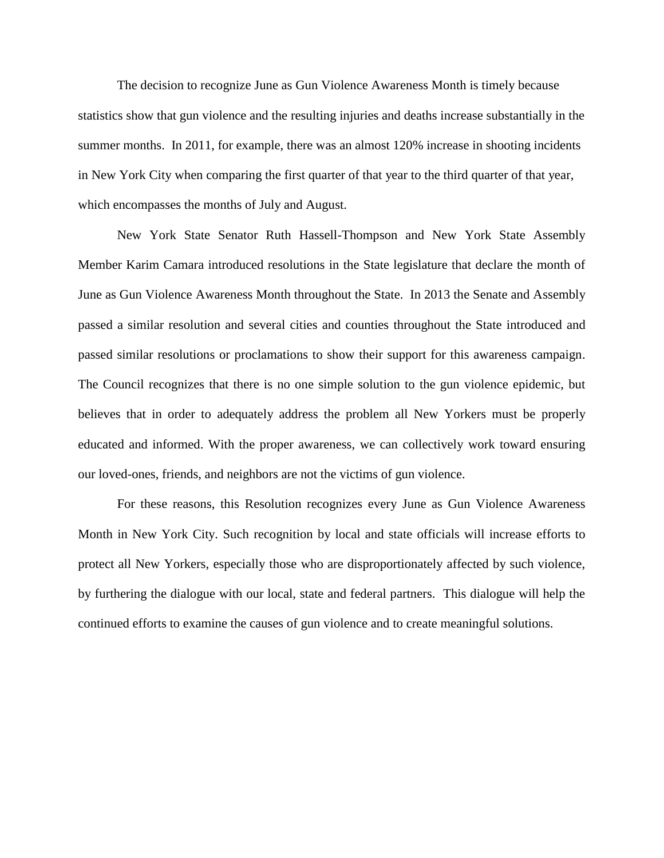The decision to recognize June as Gun Violence Awareness Month is timely because statistics show that gun violence and the resulting injuries and deaths increase substantially in the summer months. In 2011, for example, there was an almost 120% increase in shooting incidents in New York City when comparing the first quarter of that year to the third quarter of that year, which encompasses the months of July and August.

New York State Senator Ruth Hassell-Thompson and New York State Assembly Member Karim Camara introduced resolutions in the State legislature that declare the month of June as Gun Violence Awareness Month throughout the State. In 2013 the Senate and Assembly passed a similar resolution and several cities and counties throughout the State introduced and passed similar resolutions or proclamations to show their support for this awareness campaign. The Council recognizes that there is no one simple solution to the gun violence epidemic, but believes that in order to adequately address the problem all New Yorkers must be properly educated and informed. With the proper awareness, we can collectively work toward ensuring our loved-ones, friends, and neighbors are not the victims of gun violence.

For these reasons, this Resolution recognizes every June as Gun Violence Awareness Month in New York City. Such recognition by local and state officials will increase efforts to protect all New Yorkers, especially those who are disproportionately affected by such violence, by furthering the dialogue with our local, state and federal partners. This dialogue will help the continued efforts to examine the causes of gun violence and to create meaningful solutions.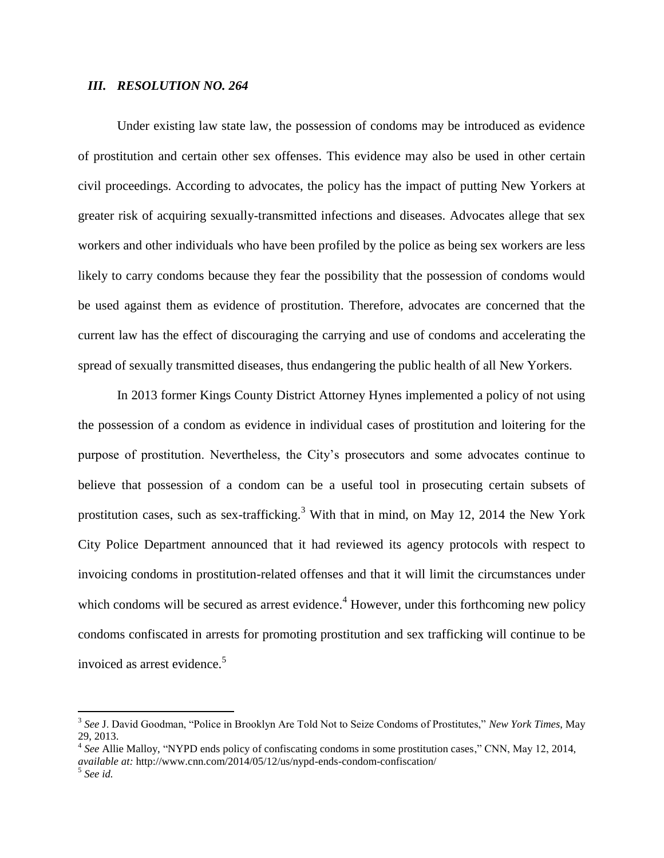#### *III. RESOLUTION NO. 264*

Under existing law state law, the possession of condoms may be introduced as evidence of prostitution and certain other sex offenses. This evidence may also be used in other certain civil proceedings. According to advocates, the policy has the impact of putting New Yorkers at greater risk of acquiring sexually-transmitted infections and diseases. Advocates allege that sex workers and other individuals who have been profiled by the police as being sex workers are less likely to carry condoms because they fear the possibility that the possession of condoms would be used against them as evidence of prostitution. Therefore, advocates are concerned that the current law has the effect of discouraging the carrying and use of condoms and accelerating the spread of sexually transmitted diseases, thus endangering the public health of all New Yorkers.

In 2013 former Kings County District Attorney Hynes implemented a policy of not using the possession of a condom as evidence in individual cases of prostitution and loitering for the purpose of prostitution. Nevertheless, the City's prosecutors and some advocates continue to believe that possession of a condom can be a useful tool in prosecuting certain subsets of prostitution cases, such as sex-trafficking.<sup>3</sup> With that in mind, on May 12, 2014 the New York City Police Department announced that it had reviewed its agency protocols with respect to invoicing condoms in prostitution-related offenses and that it will limit the circumstances under which condoms will be secured as arrest evidence.<sup>4</sup> However, under this forthcoming new policy condoms confiscated in arrests for promoting prostitution and sex trafficking will continue to be invoiced as arrest evidence.<sup>5</sup>

 3 *See* J. David Goodman, "Police in Brooklyn Are Told Not to Seize Condoms of Prostitutes," *New York Times*, May 29, 2013.

<sup>4</sup> *See* Allie Malloy, "NYPD ends policy of confiscating condoms in some prostitution cases," CNN, May 12, 2014, *available at:* http://www.cnn.com/2014/05/12/us/nypd-ends-condom-confiscation/

<sup>5</sup> *See id.*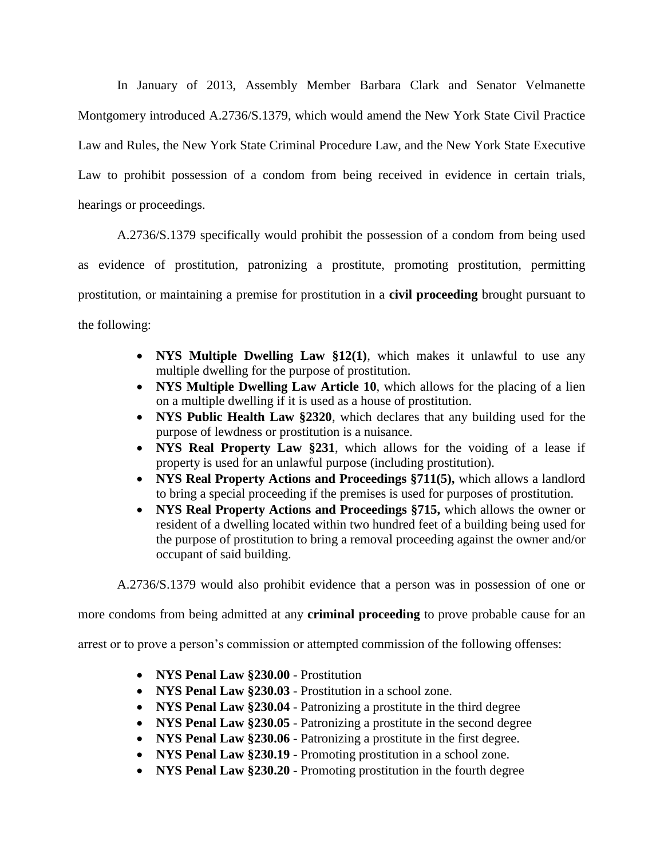In January of 2013, Assembly Member Barbara Clark and Senator Velmanette Montgomery introduced A.2736/S.1379, which would amend the New York State Civil Practice Law and Rules, the New York State Criminal Procedure Law, and the New York State Executive Law to prohibit possession of a condom from being received in evidence in certain trials, hearings or proceedings.

A.2736/S.1379 specifically would prohibit the possession of a condom from being used as evidence of prostitution, patronizing a prostitute, promoting prostitution, permitting prostitution, or maintaining a premise for prostitution in a **civil proceeding** brought pursuant to the following:

- **NYS Multiple Dwelling Law §12(1)**, which makes it unlawful to use any multiple dwelling for the purpose of prostitution.
- **NYS Multiple Dwelling Law Article 10**, which allows for the placing of a lien on a multiple dwelling if it is used as a house of prostitution.
- **NYS Public Health Law §2320**, which declares that any building used for the purpose of lewdness or prostitution is a nuisance.
- **NYS Real Property Law §231**, which allows for the voiding of a lease if property is used for an unlawful purpose (including prostitution).
- **NYS Real Property Actions and Proceedings §711(5),** which allows a landlord to bring a special proceeding if the premises is used for purposes of prostitution.
- **NYS Real Property Actions and Proceedings §715,** which allows the owner or resident of a dwelling located within two hundred feet of a building being used for the purpose of prostitution to bring a removal proceeding against the owner and/or occupant of said building.

A.2736/S.1379 would also prohibit evidence that a person was in possession of one or

more condoms from being admitted at any **criminal proceeding** to prove probable cause for an

arrest or to prove a person's commission or attempted commission of the following offenses:

- **NYS Penal Law §230.00** Prostitution
- **NYS Penal Law §230.03** Prostitution in a school zone.
- **NYS Penal Law §230.04** Patronizing a prostitute in the third degree
- **NYS Penal Law §230.05** Patronizing a prostitute in the second degree
- **NYS Penal Law §230.06** Patronizing a prostitute in the first degree.
- **NYS Penal Law §230.19** Promoting prostitution in a school zone.
- **NYS Penal Law §230.20** Promoting prostitution in the fourth degree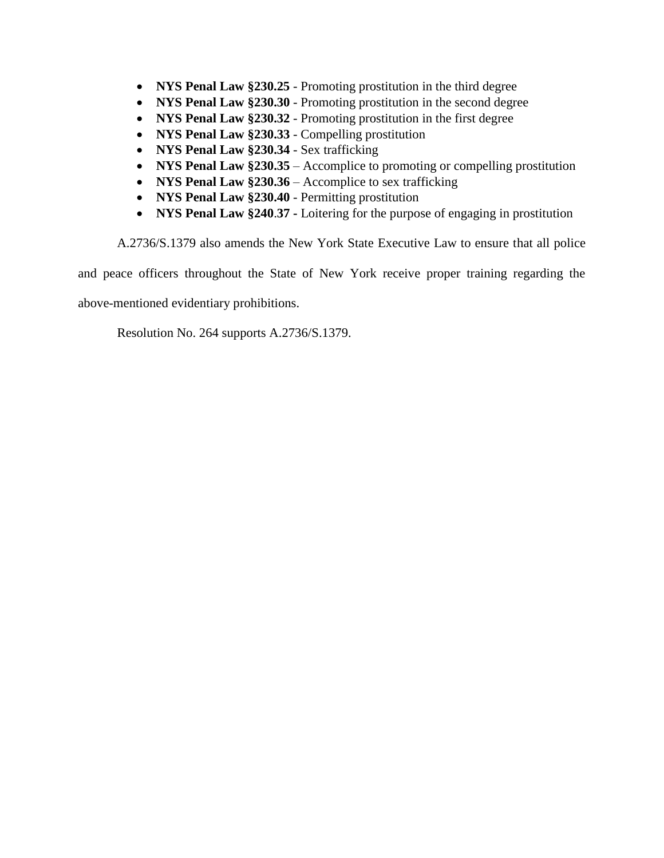- **NYS Penal Law §230.25** Promoting prostitution in the third degree
- **NYS Penal Law §230.30** Promoting prostitution in the second degree
- **NYS Penal Law §230.32** Promoting prostitution in the first degree
- **NYS Penal Law §230.33** Compelling prostitution
- **NYS Penal Law §230.34** Sex trafficking
- **NYS Penal Law §230.35** Accomplice to promoting or compelling prostitution
- **NYS Penal Law §230.36** Accomplice to sex trafficking
- **NYS Penal Law §230.40** Permitting prostitution
- **NYS Penal Law §240**.**37 -** Loitering for the purpose of engaging in prostitution

A.2736/S.1379 also amends the New York State Executive Law to ensure that all police and peace officers throughout the State of New York receive proper training regarding the above-mentioned evidentiary prohibitions.

Resolution No. 264 supports A.2736/S.1379.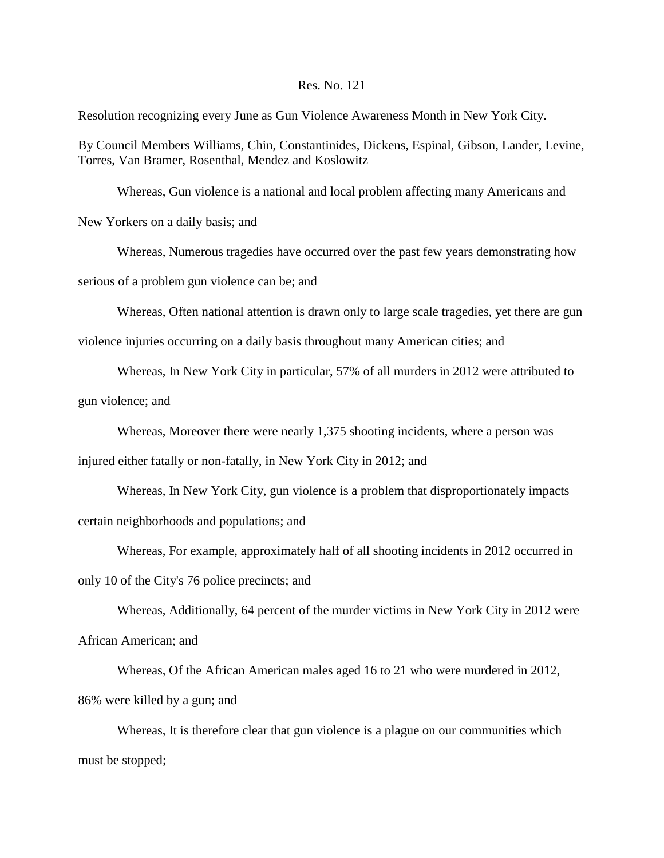#### Res. No. 121

Resolution recognizing every June as Gun Violence Awareness Month in New York City.

By Council Members Williams, Chin, Constantinides, Dickens, Espinal, Gibson, Lander, Levine, Torres, Van Bramer, Rosenthal, Mendez and Koslowitz

Whereas, Gun violence is a national and local problem affecting many Americans and New Yorkers on a daily basis; and

Whereas, Numerous tragedies have occurred over the past few years demonstrating how serious of a problem gun violence can be; and

Whereas, Often national attention is drawn only to large scale tragedies, yet there are gun

violence injuries occurring on a daily basis throughout many American cities; and

Whereas, In New York City in particular, 57% of all murders in 2012 were attributed to

gun violence; and

Whereas, Moreover there were nearly 1,375 shooting incidents, where a person was

injured either fatally or non-fatally, in New York City in 2012; and

Whereas, In New York City, gun violence is a problem that disproportionately impacts certain neighborhoods and populations; and

Whereas, For example, approximately half of all shooting incidents in 2012 occurred in only 10 of the City's 76 police precincts; and

Whereas, Additionally, 64 percent of the murder victims in New York City in 2012 were

African American; and

Whereas, Of the African American males aged 16 to 21 who were murdered in 2012, 86% were killed by a gun; and

Whereas, It is therefore clear that gun violence is a plague on our communities which must be stopped;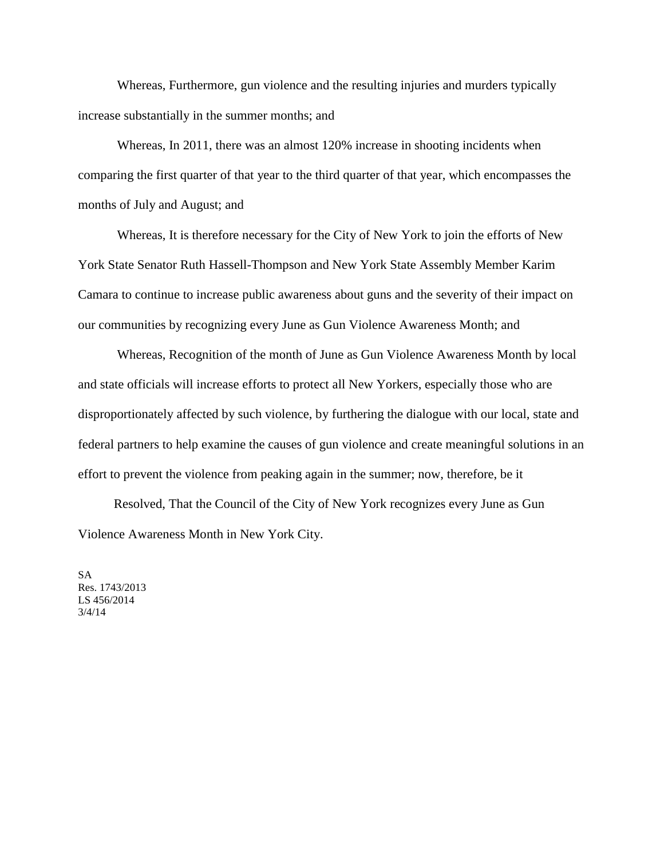Whereas, Furthermore, gun violence and the resulting injuries and murders typically increase substantially in the summer months; and

Whereas, In 2011, there was an almost 120% increase in shooting incidents when comparing the first quarter of that year to the third quarter of that year, which encompasses the months of July and August; and

Whereas, It is therefore necessary for the City of New York to join the efforts of New York State Senator Ruth Hassell-Thompson and New York State Assembly Member Karim Camara to continue to increase public awareness about guns and the severity of their impact on our communities by recognizing every June as Gun Violence Awareness Month; and

Whereas, Recognition of the month of June as Gun Violence Awareness Month by local and state officials will increase efforts to protect all New Yorkers, especially those who are disproportionately affected by such violence, by furthering the dialogue with our local, state and federal partners to help examine the causes of gun violence and create meaningful solutions in an effort to prevent the violence from peaking again in the summer; now, therefore, be it

 Resolved, That the Council of the City of New York recognizes every June as Gun Violence Awareness Month in New York City.

SA Res. 1743/2013 LS 456/2014 3/4/14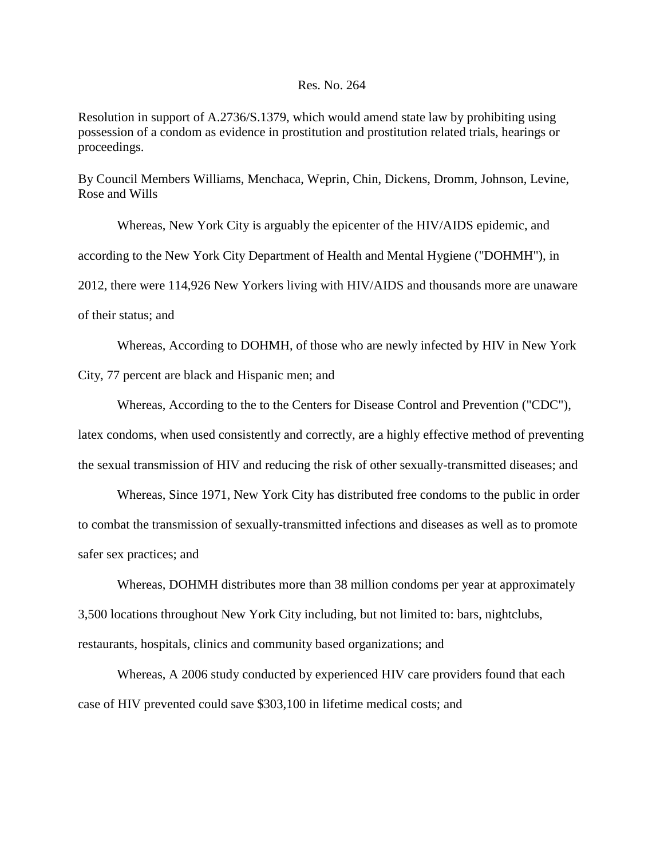#### Res. No. 264

Resolution in support of A.2736/S.1379, which would amend state law by prohibiting using possession of a condom as evidence in prostitution and prostitution related trials, hearings or proceedings.

By Council Members Williams, Menchaca, Weprin, Chin, Dickens, Dromm, Johnson, Levine, Rose and Wills

Whereas, New York City is arguably the epicenter of the HIV/AIDS epidemic, and according to the New York City Department of Health and Mental Hygiene ("DOHMH"), in 2012, there were 114,926 New Yorkers living with HIV/AIDS and thousands more are unaware of their status; and

Whereas, According to DOHMH, of those who are newly infected by HIV in New York City, 77 percent are black and Hispanic men; and

 Whereas, According to the to the Centers for Disease Control and Prevention ("CDC"), latex condoms, when used consistently and correctly, are a highly effective method of preventing the sexual transmission of HIV and reducing the risk of other sexually-transmitted diseases; and

Whereas, Since 1971, New York City has distributed free condoms to the public in order to combat the transmission of sexually-transmitted infections and diseases as well as to promote safer sex practices; and

Whereas, DOHMH distributes more than 38 million condoms per year at approximately 3,500 locations throughout New York City including, but not limited to: bars, nightclubs, restaurants, hospitals, clinics and community based organizations; and

Whereas, A 2006 study conducted by experienced HIV care providers found that each case of HIV prevented could save \$303,100 in lifetime medical costs; and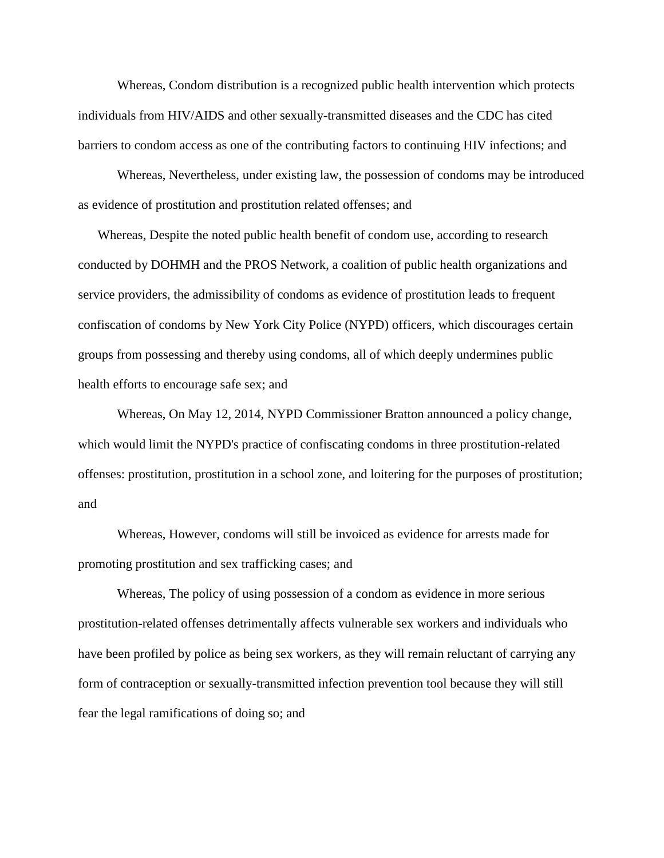Whereas, Condom distribution is a recognized public health intervention which protects individuals from HIV/AIDS and other sexually-transmitted diseases and the CDC has cited barriers to condom access as one of the contributing factors to continuing HIV infections; and

Whereas, Nevertheless, under existing law, the possession of condoms may be introduced as evidence of prostitution and prostitution related offenses; and

 Whereas, Despite the noted public health benefit of condom use, according to research conducted by DOHMH and the PROS Network, a coalition of public health organizations and service providers, the admissibility of condoms as evidence of prostitution leads to frequent confiscation of condoms by New York City Police (NYPD) officers, which discourages certain groups from possessing and thereby using condoms, all of which deeply undermines public health efforts to encourage safe sex; and

Whereas, On May 12, 2014, NYPD Commissioner Bratton announced a policy change, which would limit the NYPD's practice of confiscating condoms in three prostitution-related offenses: prostitution, prostitution in a school zone, and loitering for the purposes of prostitution; and

Whereas, However, condoms will still be invoiced as evidence for arrests made for promoting prostitution and sex trafficking cases; and

Whereas, The policy of using possession of a condom as evidence in more serious prostitution-related offenses detrimentally affects vulnerable sex workers and individuals who have been profiled by police as being sex workers, as they will remain reluctant of carrying any form of contraception or sexually-transmitted infection prevention tool because they will still fear the legal ramifications of doing so; and